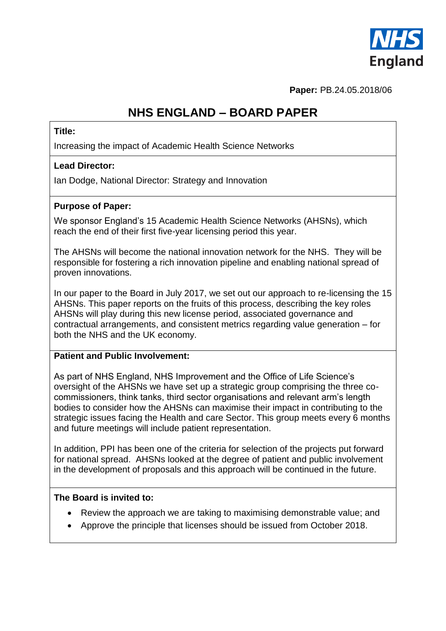

**Paper:** PB.24.05.2018/06

## **NHS ENGLAND – BOARD PAPER**

#### **Title:**

Increasing the impact of Academic Health Science Networks

#### **Lead Director:**

Ian Dodge, National Director: Strategy and Innovation

### **Purpose of Paper:**

We sponsor England's 15 Academic Health Science Networks (AHSNs), which reach the end of their first five-year licensing period this year.

The AHSNs will become the national innovation network for the NHS. They will be responsible for fostering a rich innovation pipeline and enabling national spread of proven innovations.

In our paper to the Board in July 2017, we set out our approach to re-licensing the 15 AHSNs. This paper reports on the fruits of this process, describing the key roles AHSNs will play during this new license period, associated governance and contractual arrangements, and consistent metrics regarding value generation – for both the NHS and the UK economy.

#### **Patient and Public Involvement:**

As part of NHS England, NHS Improvement and the Office of Life Science's oversight of the AHSNs we have set up a strategic group comprising the three cocommissioners, think tanks, third sector organisations and relevant arm's length bodies to consider how the AHSNs can maximise their impact in contributing to the strategic issues facing the Health and care Sector. This group meets every 6 months and future meetings will include patient representation.

In addition, PPI has been one of the criteria for selection of the projects put forward for national spread. AHSNs looked at the degree of patient and public involvement in the development of proposals and this approach will be continued in the future.

#### **The Board is invited to:**

- Review the approach we are taking to maximising demonstrable value; and
- Approve the principle that licenses should be issued from October 2018.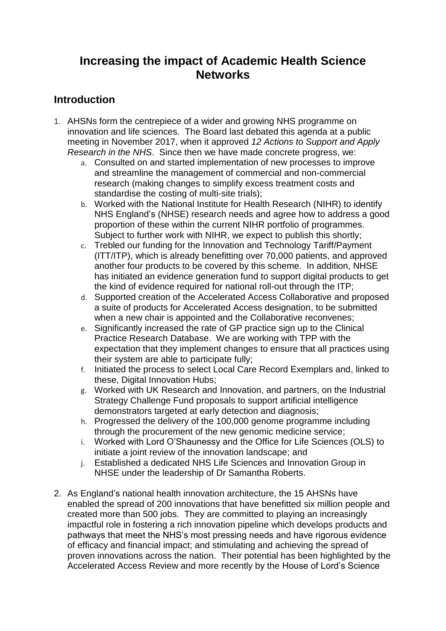## **Increasing the impact of Academic Health Science Networks**

### **Introduction**

- 1. AHSNs form the centrepiece of a wider and growing NHS programme on innovation and life sciences. The Board last debated this agenda at a public meeting in November 2017, when it approved *12 Actions to Support and Apply Research in the NHS*. Since then we have made concrete progress, we:
	- a. Consulted on and started implementation of new processes to improve and streamline the management of commercial and non-commercial research (making changes to simplify excess treatment costs and standardise the costing of multi-site trials);
	- b. Worked with the National Institute for Health Research (NIHR) to identify NHS England's (NHSE) research needs and agree how to address a good proportion of these within the current NIHR portfolio of programmes. Subject to further work with NIHR, we expect to publish this shortly;
	- c. Trebled our funding for the Innovation and Technology Tariff/Payment (ITT/ITP), which is already benefitting over 70,000 patients, and approved another four products to be covered by this scheme. In addition, NHSE has initiated an evidence generation fund to support digital products to get the kind of evidence required for national roll-out through the ITP;
	- d. Supported creation of the Accelerated Access Collaborative and proposed a suite of products for Accelerated Access designation, to be submitted when a new chair is appointed and the Collaborative reconvenes;
	- e. Significantly increased the rate of GP practice sign up to the Clinical Practice Research Database. We are working with TPP with the expectation that they implement changes to ensure that all practices using their system are able to participate fully;
	- f. Initiated the process to select Local Care Record Exemplars and, linked to these, Digital Innovation Hubs;
	- g. Worked with UK Research and Innovation, and partners, on the Industrial Strategy Challenge Fund proposals to support artificial intelligence demonstrators targeted at early detection and diagnosis;
	- h. Progressed the delivery of the 100,000 genome programme including through the procurement of the new genomic medicine service;
	- i. Worked with Lord O'Shaunessy and the Office for Life Sciences (OLS) to initiate a joint review of the innovation landscape; and
	- j. Established a dedicated NHS Life Sciences and Innovation Group in NHSE under the leadership of Dr Samantha Roberts.
- 2. As England's national health innovation architecture, the 15 AHSNs have enabled the spread of 200 innovations that have benefitted six million people and created more than 500 jobs. They are committed to playing an increasingly impactful role in fostering a rich innovation pipeline which develops products and pathways that meet the NHS's most pressing needs and have rigorous evidence of efficacy and financial impact; and stimulating and achieving the spread of proven innovations across the nation. Their potential has been highlighted by the Accelerated Access Review and more recently by the House of Lord's Science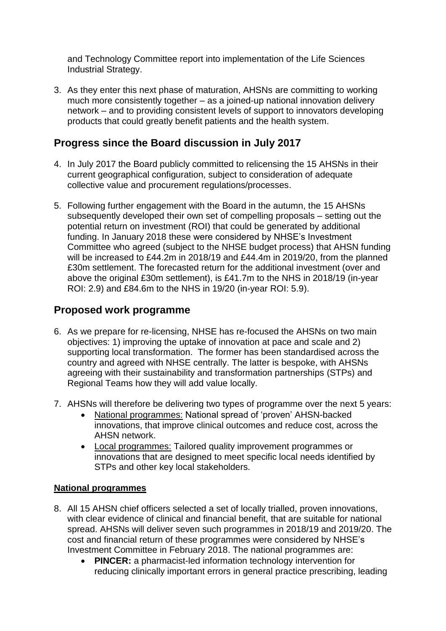and Technology Committee report into implementation of the Life Sciences Industrial Strategy.

3. As they enter this next phase of maturation, AHSNs are committing to working much more consistently together – as a joined-up national innovation delivery network – and to providing consistent levels of support to innovators developing products that could greatly benefit patients and the health system.

### **Progress since the Board discussion in July 2017**

- 4. In July 2017 the Board publicly committed to relicensing the 15 AHSNs in their current geographical configuration, subject to consideration of adequate collective value and procurement regulations/processes.
- 5. Following further engagement with the Board in the autumn, the 15 AHSNs subsequently developed their own set of compelling proposals – setting out the potential return on investment (ROI) that could be generated by additional funding. In January 2018 these were considered by NHSE's Investment Committee who agreed (subject to the NHSE budget process) that AHSN funding will be increased to £44.2m in 2018/19 and £44.4m in 2019/20, from the planned £30m settlement. The forecasted return for the additional investment (over and above the original £30m settlement), is £41.7m to the NHS in 2018/19 (in-year ROI: 2.9) and £84.6m to the NHS in 19/20 (in-year ROI: 5.9).

### **Proposed work programme**

- 6. As we prepare for re-licensing, NHSE has re-focused the AHSNs on two main objectives: 1) improving the uptake of innovation at pace and scale and 2) supporting local transformation. The former has been standardised across the country and agreed with NHSE centrally. The latter is bespoke, with AHSNs agreeing with their sustainability and transformation partnerships (STPs) and Regional Teams how they will add value locally.
- 7. AHSNs will therefore be delivering two types of programme over the next 5 years:
	- National programmes: National spread of 'proven' AHSN-backed innovations, that improve clinical outcomes and reduce cost, across the AHSN network.
	- Local programmes: Tailored quality improvement programmes or innovations that are designed to meet specific local needs identified by STPs and other key local stakeholders.

### **National programmes**

- 8. All 15 AHSN chief officers selected a set of locally trialled, proven innovations, with clear evidence of clinical and financial benefit, that are suitable for national spread. AHSNs will deliver seven such programmes in 2018/19 and 2019/20. The cost and financial return of these programmes were considered by NHSE's Investment Committee in February 2018. The national programmes are:
	- **PINCER:** a pharmacist-led information technology intervention for reducing clinically important errors in general practice prescribing, leading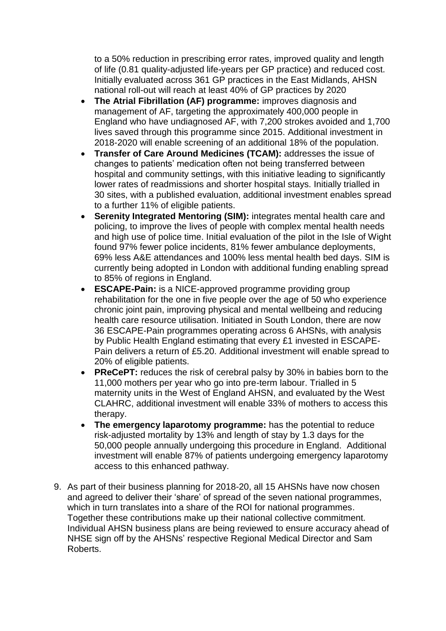to a 50% reduction in prescribing error rates, improved quality and length of life (0.81 quality-adjusted life-years per GP practice) and reduced cost. Initially evaluated across 361 GP practices in the East Midlands, AHSN national roll-out will reach at least 40% of GP practices by 2020

- **The Atrial Fibrillation (AF) programme:** improves diagnosis and management of AF, targeting the approximately 400,000 people in England who have undiagnosed AF, with 7,200 strokes avoided and 1,700 lives saved through this programme since 2015. Additional investment in 2018-2020 will enable screening of an additional 18% of the population.
- **Transfer of Care Around Medicines (TCAM):** addresses the issue of changes to patients' medication often not being transferred between hospital and community settings, with this initiative leading to significantly lower rates of readmissions and shorter hospital stays. Initially trialled in 30 sites, with a published evaluation, additional investment enables spread to a further 11% of eligible patients.
- **Serenity Integrated Mentoring (SIM):** integrates mental health care and policing, to improve the lives of people with complex mental health needs and high use of police time. Initial evaluation of the pilot in the Isle of Wight found 97% fewer police incidents, 81% fewer ambulance deployments, 69% less A&E attendances and 100% less mental health bed days. SIM is currently being adopted in London with additional funding enabling spread to 85% of regions in England.
- **ESCAPE-Pain:** is a NICE-approved programme providing group rehabilitation for the one in five people over the age of 50 who experience chronic joint pain, improving physical and mental wellbeing and reducing health care resource utilisation. Initiated in South London, there are now 36 ESCAPE-Pain programmes operating across 6 AHSNs, with analysis by Public Health England estimating that every £1 invested in ESCAPE-Pain delivers a return of £5.20. Additional investment will enable spread to 20% of eligible patients.
- **PReCePT:** reduces the risk of cerebral palsy by 30% in babies born to the 11,000 mothers per year who go into pre-term labour. Trialled in 5 maternity units in the West of England AHSN, and evaluated by the West CLAHRC, additional investment will enable 33% of mothers to access this therapy.
- **The emergency laparotomy programme:** has the potential to reduce risk-adjusted mortality by 13% and length of stay by 1.3 days for the 50,000 people annually undergoing this procedure in England. Additional investment will enable 87% of patients undergoing emergency laparotomy access to this enhanced pathway.
- 9. As part of their business planning for 2018-20, all 15 AHSNs have now chosen and agreed to deliver their 'share' of spread of the seven national programmes, which in turn translates into a share of the ROI for national programmes. Together these contributions make up their national collective commitment. Individual AHSN business plans are being reviewed to ensure accuracy ahead of NHSE sign off by the AHSNs' respective Regional Medical Director and Sam Roberts.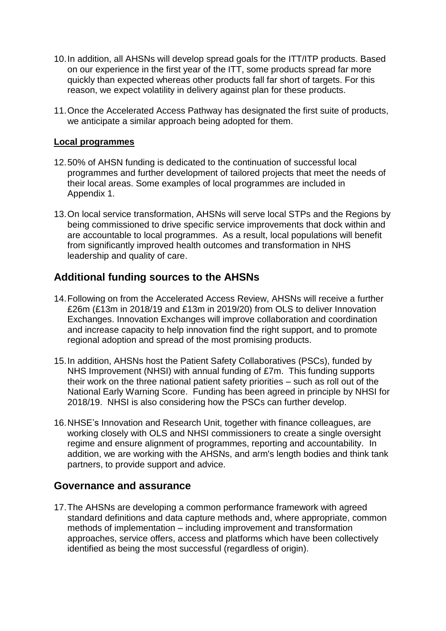- 10.In addition, all AHSNs will develop spread goals for the ITT/ITP products. Based on our experience in the first year of the ITT, some products spread far more quickly than expected whereas other products fall far short of targets. For this reason, we expect volatility in delivery against plan for these products.
- 11.Once the Accelerated Access Pathway has designated the first suite of products, we anticipate a similar approach being adopted for them.

#### **Local programmes**

- 12.50% of AHSN funding is dedicated to the continuation of successful local programmes and further development of tailored projects that meet the needs of their local areas. Some examples of local programmes are included in Appendix 1.
- 13.On local service transformation, AHSNs will serve local STPs and the Regions by being commissioned to drive specific service improvements that dock within and are accountable to local programmes. As a result, local populations will benefit from significantly improved health outcomes and transformation in NHS leadership and quality of care.

### **Additional funding sources to the AHSNs**

- 14.Following on from the Accelerated Access Review, AHSNs will receive a further £26m (£13m in 2018/19 and £13m in 2019/20) from OLS to deliver Innovation Exchanges. Innovation Exchanges will improve collaboration and coordination and increase capacity to help innovation find the right support, and to promote regional adoption and spread of the most promising products.
- 15.In addition, AHSNs host the Patient Safety Collaboratives (PSCs), funded by NHS Improvement (NHSI) with annual funding of £7m. This funding supports their work on the three national patient safety priorities – such as roll out of the National Early Warning Score. Funding has been agreed in principle by NHSI for 2018/19. NHSI is also considering how the PSCs can further develop.
- 16.NHSE's Innovation and Research Unit, together with finance colleagues, are working closely with OLS and NHSI commissioners to create a single oversight regime and ensure alignment of programmes, reporting and accountability. In addition, we are working with the AHSNs, and arm's length bodies and think tank partners, to provide support and advice.

### **Governance and assurance**

17.The AHSNs are developing a common performance framework with agreed standard definitions and data capture methods and, where appropriate, common methods of implementation – including improvement and transformation approaches, service offers, access and platforms which have been collectively identified as being the most successful (regardless of origin).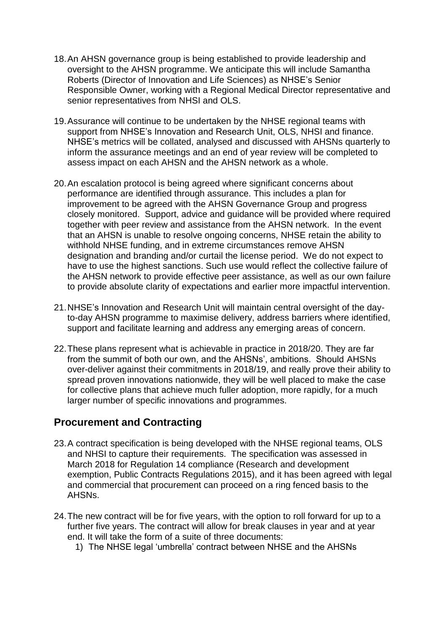- 18.An AHSN governance group is being established to provide leadership and oversight to the AHSN programme. We anticipate this will include Samantha Roberts (Director of Innovation and Life Sciences) as NHSE's Senior Responsible Owner, working with a Regional Medical Director representative and senior representatives from NHSI and OLS.
- 19.Assurance will continue to be undertaken by the NHSE regional teams with support from NHSE's Innovation and Research Unit, OLS, NHSI and finance. NHSE's metrics will be collated, analysed and discussed with AHSNs quarterly to inform the assurance meetings and an end of year review will be completed to assess impact on each AHSN and the AHSN network as a whole.
- 20.An escalation protocol is being agreed where significant concerns about performance are identified through assurance. This includes a plan for improvement to be agreed with the AHSN Governance Group and progress closely monitored. Support, advice and guidance will be provided where required together with peer review and assistance from the AHSN network. In the event that an AHSN is unable to resolve ongoing concerns, NHSE retain the ability to withhold NHSE funding, and in extreme circumstances remove AHSN designation and branding and/or curtail the license period. We do not expect to have to use the highest sanctions. Such use would reflect the collective failure of the AHSN network to provide effective peer assistance, as well as our own failure to provide absolute clarity of expectations and earlier more impactful intervention.
- 21.NHSE's Innovation and Research Unit will maintain central oversight of the dayto-day AHSN programme to maximise delivery, address barriers where identified, support and facilitate learning and address any emerging areas of concern.
- 22.These plans represent what is achievable in practice in 2018/20. They are far from the summit of both our own, and the AHSNs', ambitions. Should AHSNs over-deliver against their commitments in 2018/19, and really prove their ability to spread proven innovations nationwide, they will be well placed to make the case for collective plans that achieve much fuller adoption, more rapidly, for a much larger number of specific innovations and programmes.

### **Procurement and Contracting**

- 23.A contract specification is being developed with the NHSE regional teams, OLS and NHSI to capture their requirements. The specification was assessed in March 2018 for Regulation 14 compliance (Research and development exemption, Public Contracts Regulations 2015), and it has been agreed with legal and commercial that procurement can proceed on a ring fenced basis to the AHSNs.
- 24.The new contract will be for five years, with the option to roll forward for up to a further five years. The contract will allow for break clauses in year and at year end. It will take the form of a suite of three documents:
	- 1) The NHSE legal 'umbrella' contract between NHSE and the AHSNs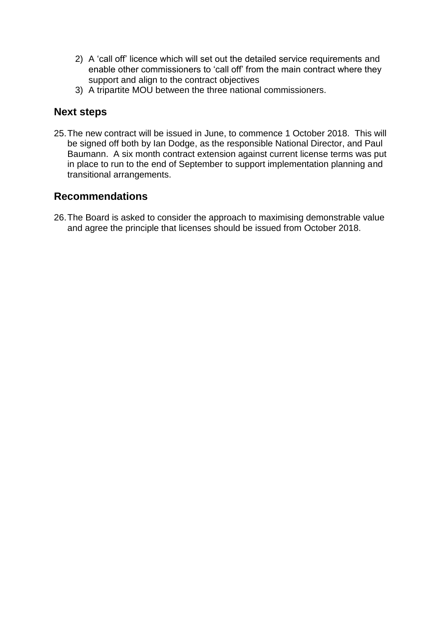- 2) A 'call off' licence which will set out the detailed service requirements and enable other commissioners to 'call off' from the main contract where they support and align to the contract objectives
- 3) A tripartite MOU between the three national commissioners.

### **Next steps**

25.The new contract will be issued in June, to commence 1 October 2018. This will be signed off both by Ian Dodge, as the responsible National Director, and Paul Baumann. A six month contract extension against current license terms was put in place to run to the end of September to support implementation planning and transitional arrangements.

### **Recommendations**

26.The Board is asked to consider the approach to maximising demonstrable value and agree the principle that licenses should be issued from October 2018.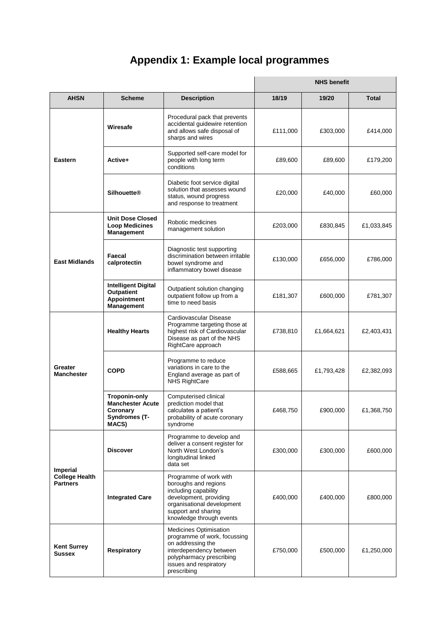# **Appendix 1: Example local programmes**

|                                                      |                                                                                |                                                                                                                                                                                   | <b>NHS benefit</b> |            |            |
|------------------------------------------------------|--------------------------------------------------------------------------------|-----------------------------------------------------------------------------------------------------------------------------------------------------------------------------------|--------------------|------------|------------|
| <b>AHSN</b>                                          | <b>Scheme</b>                                                                  | <b>Description</b>                                                                                                                                                                | 18/19              | 19/20      | Total      |
| <b>Eastern</b>                                       | Wiresafe                                                                       | Procedural pack that prevents<br>accidental guidewire retention<br>and allows safe disposal of<br>sharps and wires                                                                | £111,000           | £303,000   | £414,000   |
|                                                      | Active+                                                                        | Supported self-care model for<br>people with long term<br>conditions                                                                                                              | £89,600            | £89,600    | £179,200   |
|                                                      | <b>Silhouette®</b>                                                             | Diabetic foot service digital<br>solution that assesses wound<br>status, wound progress<br>and response to treatment                                                              | £20,000            | £40,000    | £60,000    |
| <b>East Midlands</b>                                 | <b>Unit Dose Closed</b><br><b>Loop Medicines</b><br>Management                 | Robotic medicines<br>management solution                                                                                                                                          | £203,000           | £830,845   | £1,033,845 |
|                                                      | Faecal<br>calprotectin                                                         | Diagnostic test supporting<br>discrimination between irritable<br>bowel syndrome and<br>inflammatory bowel disease                                                                | £130,000           | £656,000   | £786,000   |
|                                                      | <b>Intelligent Digital</b><br><b>Outpatient</b><br>Appointment<br>Management   | Outpatient solution changing<br>outpatient follow up from a<br>time to need basis                                                                                                 | £181,307           | £600,000   | £781,307   |
| Greater<br><b>Manchester</b>                         | <b>Healthy Hearts</b>                                                          | Cardiovascular Disease<br>Programme targeting those at<br>highest risk of Cardiovascular<br>Disease as part of the NHS<br>RightCare approach                                      | £738,810           | £1,664,621 | £2,403,431 |
|                                                      | <b>COPD</b>                                                                    | Programme to reduce<br>variations in care to the<br>England average as part of<br><b>NHS RightCare</b>                                                                            | £588,665           | £1,793,428 | £2,382,093 |
|                                                      | Troponin-only<br><b>Manchester Acute</b><br>Coronary<br>Syndromes (T-<br>MACS) | Computerised clinical<br>prediction model that<br>calculates a patient's<br>probability of acute coronary<br>syndrome                                                             | £468,750           | £900,000   | £1,368,750 |
| Imperial<br><b>College Health</b><br><b>Partners</b> | <b>Discover</b>                                                                | Programme to develop and<br>deliver a consent register for<br>North West London's<br>longitudinal linked<br>data set                                                              | £300,000           | £300,000   | £600,000   |
|                                                      | <b>Integrated Care</b>                                                         | Programme of work with<br>boroughs and regions<br>including capability<br>development, providing<br>organisational development<br>support and sharing<br>knowledge through events | £400,000           | £400,000   | £800,000   |
| <b>Kent Surrey</b><br>Sussex                         | Respiratory                                                                    | Medicines Optimisation<br>programme of work, focussing<br>on addressing the<br>interdependency between<br>polypharmacy prescribing<br>issues and respiratory<br>prescribing       | £750,000           | £500,000   | £1,250,000 |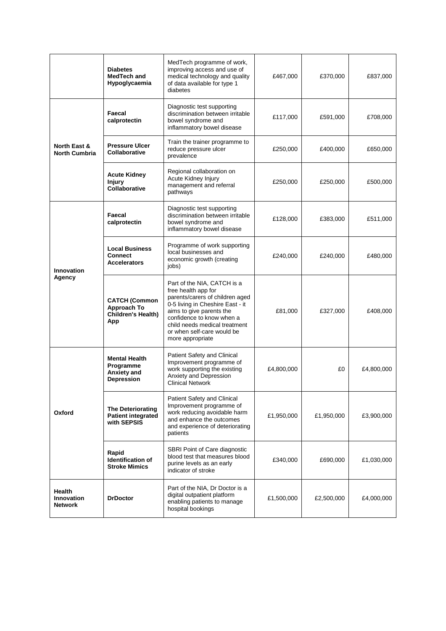|                                                      | <b>Diabetes</b><br>MedTech and<br>Hypoglycaemia                      | MedTech programme of work,<br>improving access and use of<br>medical technology and quality<br>of data available for type 1<br>diabetes                                                                                                                               | £467,000   | £370,000   | £837,000   |
|------------------------------------------------------|----------------------------------------------------------------------|-----------------------------------------------------------------------------------------------------------------------------------------------------------------------------------------------------------------------------------------------------------------------|------------|------------|------------|
| <b>North East &amp;</b><br><b>North Cumbria</b>      | Faecal<br>calprotectin                                               | Diagnostic test supporting<br>discrimination between irritable<br>bowel syndrome and<br>inflammatory bowel disease                                                                                                                                                    | £117,000   | £591,000   | £708,000   |
|                                                      | <b>Pressure Ulcer</b><br>Collaborative                               | Train the trainer programme to<br>reduce pressure ulcer<br>prevalence                                                                                                                                                                                                 | £250,000   | £400,000   | £650,000   |
|                                                      | <b>Acute Kidney</b><br><b>Injury</b><br>Collaborative                | Regional collaboration on<br>Acute Kidney Injury<br>management and referral<br>pathways                                                                                                                                                                               | £250,000   | £250,000   | £500,000   |
| <b>Innovation</b><br>Agency                          | Faecal<br>calprotectin                                               | Diagnostic test supporting<br>discrimination between irritable<br>bowel syndrome and<br>inflammatory bowel disease                                                                                                                                                    | £128,000   | £383,000   | £511,000   |
|                                                      | <b>Local Business</b><br><b>Connect</b><br><b>Accelerators</b>       | Programme of work supporting<br>local businesses and<br>economic growth (creating<br>jobs)                                                                                                                                                                            | £240,000   | £240,000   | £480,000   |
|                                                      | <b>CATCH (Common</b><br>Approach To<br>Children's Health)<br>App     | Part of the NIA, CATCH is a<br>free health app for<br>parents/carers of children aged<br>0-5 living in Cheshire East - it<br>aims to give parents the<br>confidence to know when a<br>child needs medical treatment<br>or when self-care would be<br>more appropriate | £81,000    | £327,000   | £408,000   |
| Oxford                                               | <b>Mental Health</b><br>Programme<br>Anxiety and<br>Depression       | Patient Safety and Clinical<br>Improvement programme of<br>work supporting the existing<br>Anxiety and Depression<br><b>Clinical Network</b>                                                                                                                          | £4,800,000 | £0         | £4,800,000 |
|                                                      | <b>The Deteriorating</b><br><b>Patient integrated</b><br>with SEPSIS | Patient Safety and Clinical<br>Improvement programme of<br>work reducing avoidable harm<br>and enhance the outcomes<br>and experience of deteriorating<br>patients                                                                                                    | £1,950,000 | £1,950,000 | £3,900,000 |
|                                                      | Rapid<br><b>Identification of</b><br><b>Stroke Mimics</b>            | SBRI Point of Care diagnostic<br>blood test that measures blood<br>purine levels as an early<br>indicator of stroke                                                                                                                                                   | £340,000   | £690,000   | £1,030,000 |
| <b>Health</b><br><b>Innovation</b><br><b>Network</b> | <b>DrDoctor</b>                                                      | Part of the NIA, Dr Doctor is a<br>digital outpatient platform<br>enabling patients to manage<br>hospital bookings                                                                                                                                                    | £1,500,000 | £2,500,000 | £4,000,000 |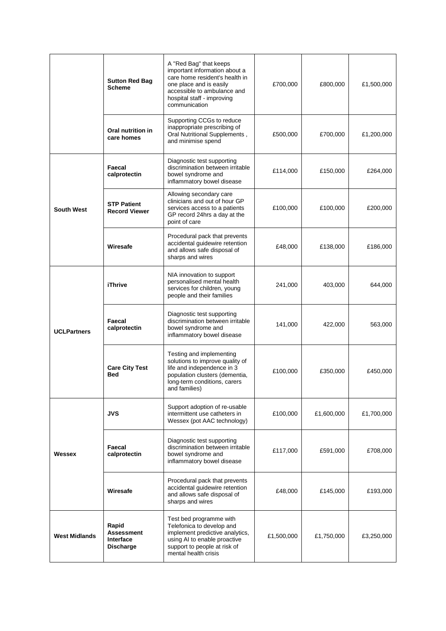|                      | <b>Sutton Red Bag</b><br><b>Scheme</b>                             | A "Red Bag" that keeps<br>important information about a<br>care home resident's health in<br>one place and is easily<br>accessible to ambulance and<br>hospital staff - improving<br>communication | £700,000   | £800,000   | £1,500,000 |
|----------------------|--------------------------------------------------------------------|----------------------------------------------------------------------------------------------------------------------------------------------------------------------------------------------------|------------|------------|------------|
|                      | Oral nutrition in<br>care homes                                    | Supporting CCGs to reduce<br>inappropriate prescribing of<br>Oral Nutritional Supplements,<br>and minimise spend                                                                                   | £500,000   | £700,000   | £1,200,000 |
| <b>South West</b>    | Faecal<br>calprotectin                                             | Diagnostic test supporting<br>discrimination between irritable<br>bowel syndrome and<br>inflammatory bowel disease                                                                                 | £114,000   | £150,000   | £264,000   |
|                      | <b>STP Patient</b><br><b>Record Viewer</b>                         | Allowing secondary care<br>clinicians and out of hour GP<br>services access to a patients<br>GP record 24hrs a day at the<br>point of care                                                         | £100,000   | £100,000   | £200,000   |
|                      | Wiresafe                                                           | Procedural pack that prevents<br>accidental guidewire retention<br>and allows safe disposal of<br>sharps and wires                                                                                 | £48,000    | £138,000   | £186,000   |
| <b>UCLPartners</b>   | <b>iThrive</b>                                                     | NIA innovation to support<br>personalised mental health<br>services for children, young<br>people and their families                                                                               | 241,000    | 403,000    | 644,000    |
|                      | Faecal<br>calprotectin                                             | Diagnostic test supporting<br>discrimination between irritable<br>bowel syndrome and<br>inflammatory bowel disease                                                                                 | 141,000    | 422,000    | 563,000    |
|                      | <b>Care City Test</b><br><b>Bed</b>                                | Testing and implementing<br>solutions to improve quality of<br>life and independence in 3<br>population clusters (dementia,<br>long-term conditions, carers<br>and families)                       | £100,000   | £350,000   | £450,000   |
| Wessex               | <b>JVS</b>                                                         | Support adoption of re-usable<br>intermittent use catheters in<br>Wessex (pot AAC technology)                                                                                                      | £100,000   | £1,600,000 | £1,700,000 |
|                      | Faecal<br>calprotectin                                             | Diagnostic test supporting<br>discrimination between irritable<br>bowel syndrome and<br>inflammatory bowel disease                                                                                 | £117,000   | £591,000   | £708,000   |
|                      | Wiresafe                                                           | Procedural pack that prevents<br>accidental guidewire retention<br>and allows safe disposal of<br>sharps and wires                                                                                 | £48,000    | £145,000   | £193,000   |
| <b>West Midlands</b> | Rapid<br><b>Assessment</b><br><b>Interface</b><br><b>Discharge</b> | Test bed programme with<br>Telefonica to develop and<br>implement predictive analytics,<br>using AI to enable proactive<br>support to people at risk of<br>mental health crisis                    | £1,500,000 | £1,750,000 | £3,250,000 |